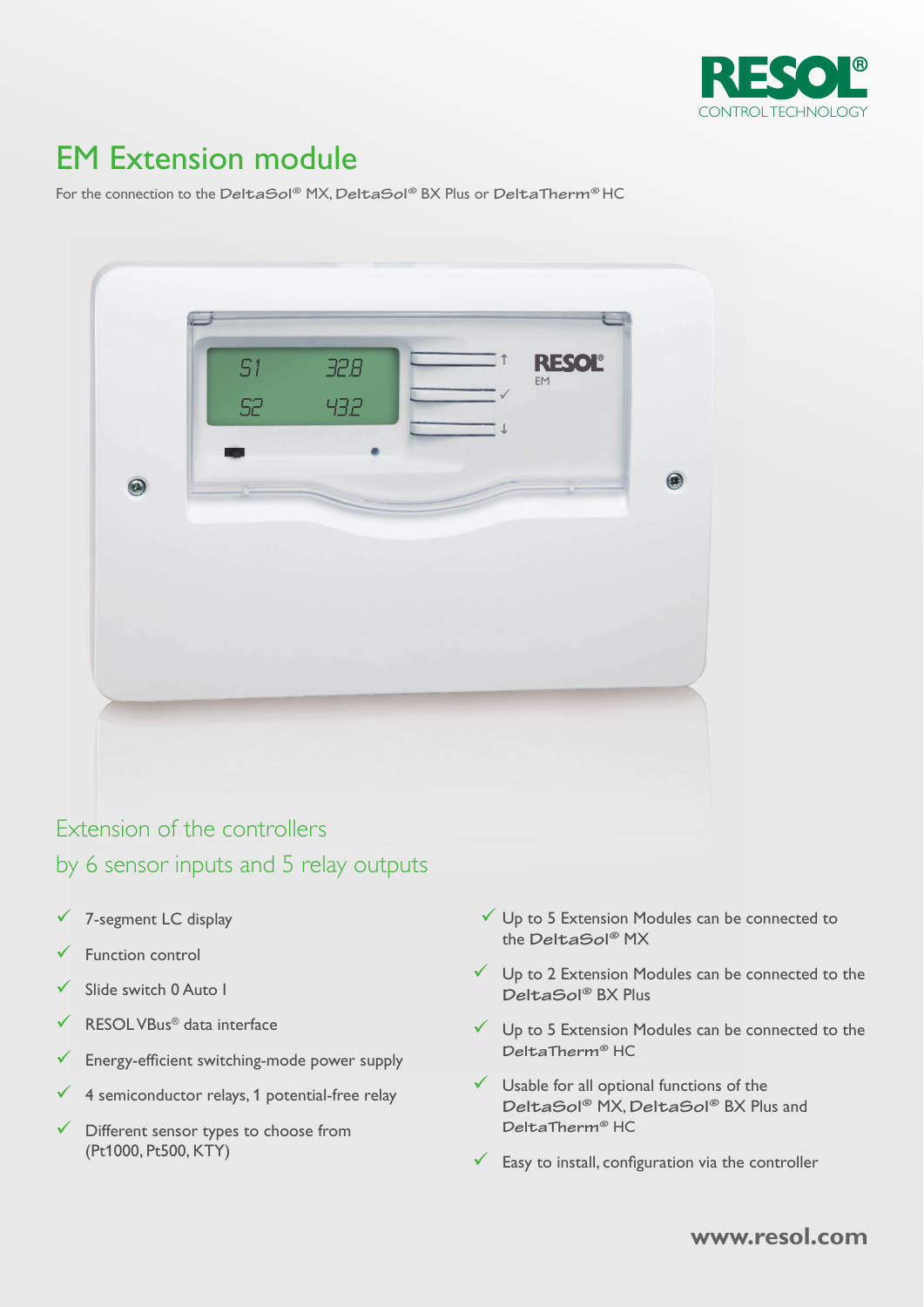

# EM Extension module

For the connection to the DeltaSol® MX, DeltaSol® BX Plus or DeltaTherm® HC



## Extension of the controllers by 6 sensor inputs and 5 relay outputs

- 7-segment LC display
- Function control
- Slide switch 0 Auto I
- RESOL VBus® data interface
- $\checkmark$  Energy-efficient switching-mode power supply
- $\checkmark$  4 semiconductor relays, 1 potential-free relay
- Different sensor types to choose from (Pt1000, Pt500, KTY)
- $\checkmark$  Up to 5 Extension Modules can be connected to the DeltaSol® MX
- $\checkmark$  Up to 2 Extension Modules can be connected to the DeltaSol® BX Plus
- $\checkmark$  Up to 5 Extension Modules can be connected to the DeltaTherm® HC
- $\checkmark$  Usable for all optional functions of the DeltaSol® MX, DeltaSol® BX Plus and DeltaTherm® HC
- $\checkmark$  Easy to install, configuration via the controller